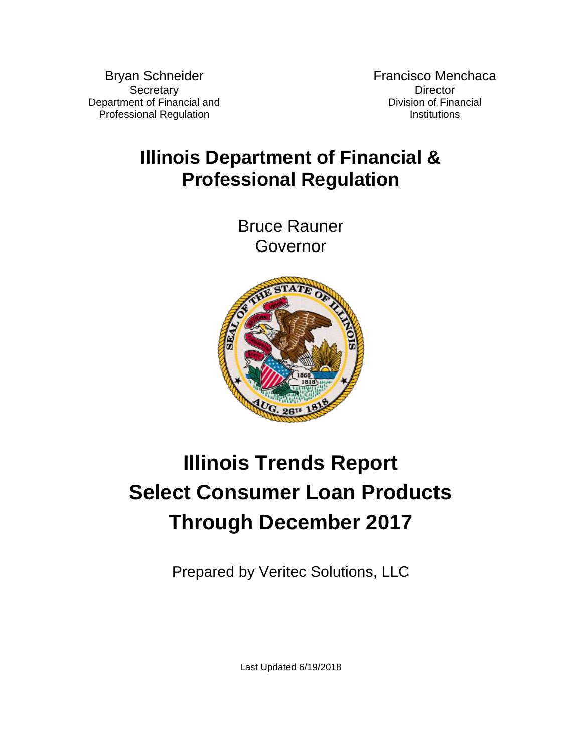Bryan Schneider **Secretary** Department of Financial and Professional Regulation

Francisco Menchaca **Director** Division of Financial **Institutions** 

## **Illinois Department of Financial & Professional Regulation**

Bruce Rauner Governor



# **Illinois Trends Report Select Consumer Loan Products Through December 2017**

Prepared by Veritec Solutions, LLC

Last Updated 6/19/2018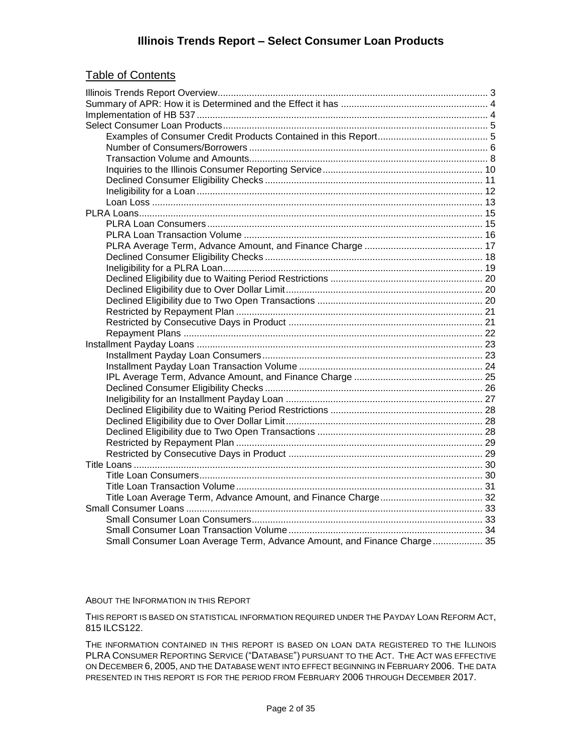#### Table of Contents

| Small Consumer Loan Average Term, Advance Amount, and Finance Charge 35 |  |
|-------------------------------------------------------------------------|--|

#### ABOUT THE INFORMATION IN THIS REPORT

THIS REPORT IS BASED ON STATISTICAL INFORMATION REQUIRED UNDER THE PAYDAY LOAN REFORM ACT, 815 ILCS122.

THE INFORMATION CONTAINED IN THIS REPORT IS BASED ON LOAN DATA REGISTERED TO THE ILLINOIS PLRA CONSUMER REPORTING SERVICE ("DATABASE") PURSUANT TO THE ACT. THE ACT WAS EFFECTIVE ON DECEMBER 6, 2005, AND THE DATABASE WENT INTO EFFECT BEGINNING IN FEBRUARY 2006. THE DATA PRESENTED IN THIS REPORT IS FOR THE PERIOD FROM FEBRUARY 2006 THROUGH DECEMBER 2017.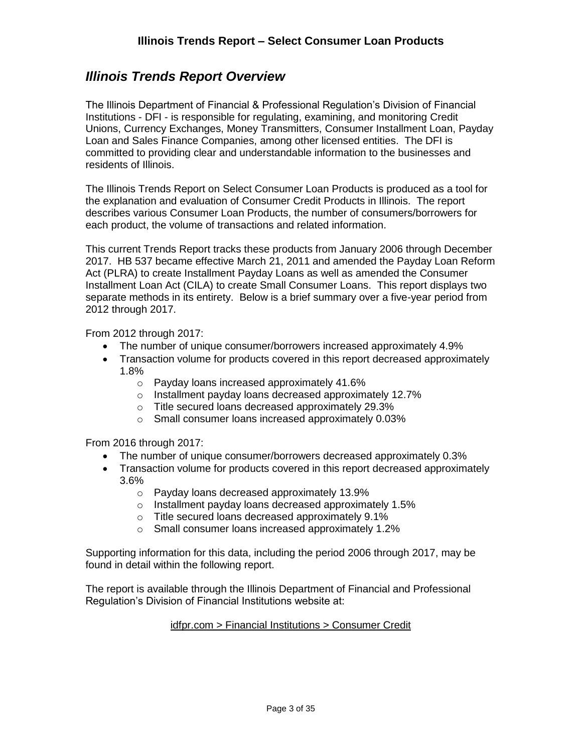#### <span id="page-2-0"></span>*Illinois Trends Report Overview*

The Illinois Department of Financial & Professional Regulation's Division of Financial Institutions - DFI - is responsible for regulating, examining, and monitoring Credit Unions, Currency Exchanges, Money Transmitters, Consumer Installment Loan, Payday Loan and Sales Finance Companies, among other licensed entities. The DFI is committed to providing clear and understandable information to the businesses and residents of Illinois.

The Illinois Trends Report on Select Consumer Loan Products is produced as a tool for the explanation and evaluation of Consumer Credit Products in Illinois. The report describes various Consumer Loan Products, the number of consumers/borrowers for each product, the volume of transactions and related information.

This current Trends Report tracks these products from January 2006 through December 2017. HB 537 became effective March 21, 2011 and amended the Payday Loan Reform Act (PLRA) to create Installment Payday Loans as well as amended the Consumer Installment Loan Act (CILA) to create Small Consumer Loans. This report displays two separate methods in its entirety. Below is a brief summary over a five-year period from 2012 through 2017.

From 2012 through 2017:

- The number of unique consumer/borrowers increased approximately 4.9%
- Transaction volume for products covered in this report decreased approximately 1.8%
	- o Payday loans increased approximately 41.6%
	- o Installment payday loans decreased approximately 12.7%
	- o Title secured loans decreased approximately 29.3%
	- o Small consumer loans increased approximately 0.03%

From 2016 through 2017:

- The number of unique consumer/borrowers decreased approximately 0.3%
- Transaction volume for products covered in this report decreased approximately 3.6%
	- o Payday loans decreased approximately 13.9%
	- o Installment payday loans decreased approximately 1.5%
	- o Title secured loans decreased approximately 9.1%
	- o Small consumer loans increased approximately 1.2%

Supporting information for this data, including the period 2006 through 2017, may be found in detail within the following report.

The report is available through the Illinois Department of Financial and Professional Regulation's Division of Financial Institutions website at:

#### idfpr.com > Financial Institutions > Consumer Credit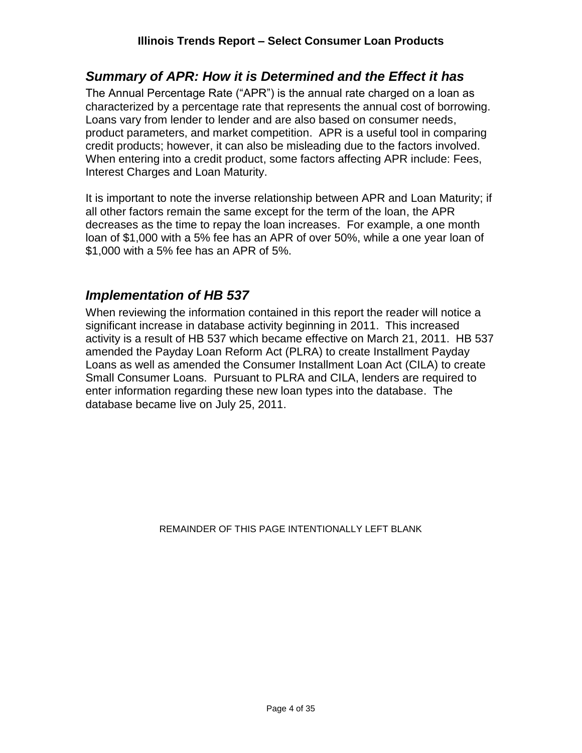#### <span id="page-3-0"></span>*Summary of APR: How it is Determined and the Effect it has*

The Annual Percentage Rate ("APR") is the annual rate charged on a loan as characterized by a percentage rate that represents the annual cost of borrowing. Loans vary from lender to lender and are also based on consumer needs, product parameters, and market competition. APR is a useful tool in comparing credit products; however, it can also be misleading due to the factors involved. When entering into a credit product, some factors affecting APR include: Fees, Interest Charges and Loan Maturity.

It is important to note the inverse relationship between APR and Loan Maturity; if all other factors remain the same except for the term of the loan, the APR decreases as the time to repay the loan increases. For example, a one month loan of \$1,000 with a 5% fee has an APR of over 50%, while a one year loan of \$1,000 with a 5% fee has an APR of 5%.

#### <span id="page-3-1"></span>*Implementation of HB 537*

When reviewing the information contained in this report the reader will notice a significant increase in database activity beginning in 2011. This increased activity is a result of HB 537 which became effective on March 21, 2011. HB 537 amended the Payday Loan Reform Act (PLRA) to create Installment Payday Loans as well as amended the Consumer Installment Loan Act (CILA) to create Small Consumer Loans. Pursuant to PLRA and CILA, lenders are required to enter information regarding these new loan types into the database. The database became live on July 25, 2011.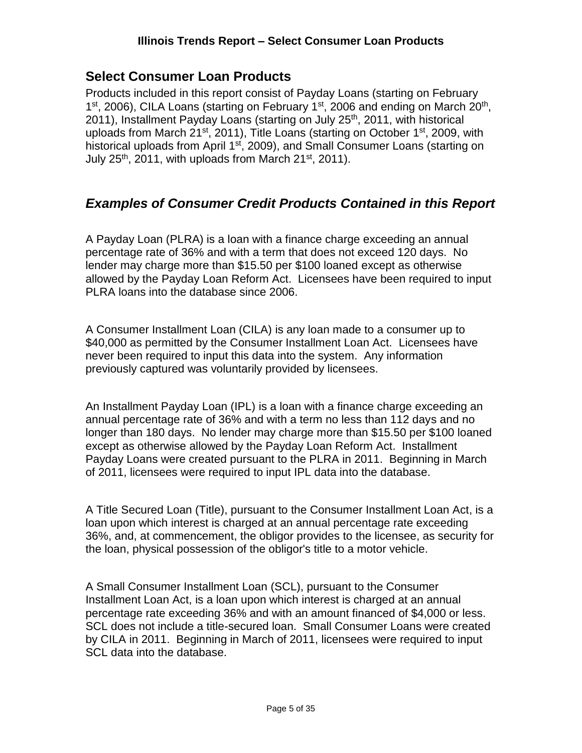#### <span id="page-4-0"></span>**Select Consumer Loan Products**

Products included in this report consist of Payday Loans (starting on February 1<sup>st</sup>, 2006), CILA Loans (starting on February 1<sup>st</sup>, 2006 and ending on March 20<sup>th</sup>, 2011), Installment Payday Loans (starting on July 25<sup>th</sup>, 2011, with historical uploads from March 21<sup>st</sup>, 2011), Title Loans (starting on October 1<sup>st</sup>, 2009, with historical uploads from April 1<sup>st</sup>, 2009), and Small Consumer Loans (starting on July 25<sup>th</sup>, 2011, with uploads from March 21<sup>st</sup>, 2011).

### <span id="page-4-1"></span>*Examples of Consumer Credit Products Contained in this Report*

A Payday Loan (PLRA) is a loan with a finance charge exceeding an annual percentage rate of 36% and with a term that does not exceed 120 days. No lender may charge more than \$15.50 per \$100 loaned except as otherwise allowed by the Payday Loan Reform Act. Licensees have been required to input PLRA loans into the database since 2006.

A Consumer Installment Loan (CILA) is any loan made to a consumer up to \$40,000 as permitted by the Consumer Installment Loan Act. Licensees have never been required to input this data into the system. Any information previously captured was voluntarily provided by licensees.

An Installment Payday Loan (IPL) is a loan with a finance charge exceeding an annual percentage rate of 36% and with a term no less than 112 days and no longer than 180 days. No lender may charge more than \$15.50 per \$100 loaned except as otherwise allowed by the Payday Loan Reform Act. Installment Payday Loans were created pursuant to the PLRA in 2011. Beginning in March of 2011, licensees were required to input IPL data into the database.

A Title Secured Loan (Title), pursuant to the Consumer Installment Loan Act, is a loan upon which interest is charged at an annual percentage rate exceeding 36%, and, at commencement, the obligor provides to the licensee, as security for the loan, physical possession of the obligor's title to a motor vehicle.

A Small Consumer Installment Loan (SCL), pursuant to the Consumer Installment Loan Act, is a loan upon which interest is charged at an annual percentage rate exceeding 36% and with an amount financed of \$4,000 or less. SCL does not include a title-secured loan. Small Consumer Loans were created by CILA in 2011. Beginning in March of 2011, licensees were required to input SCL data into the database.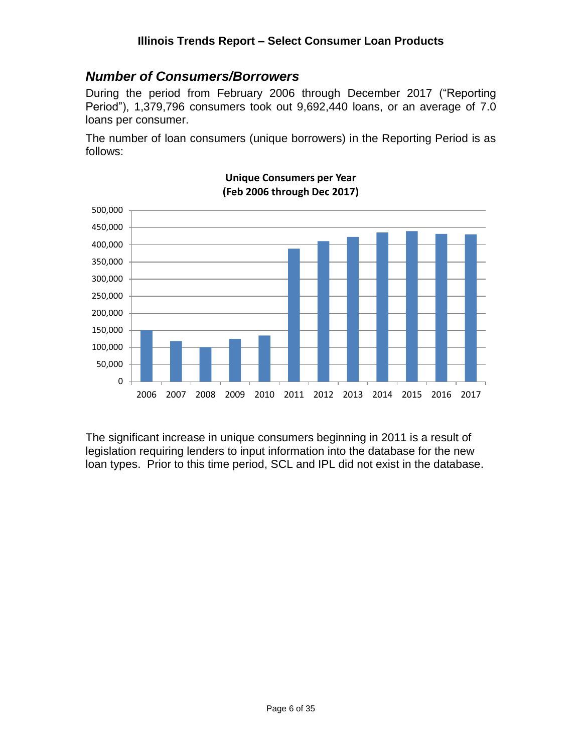#### <span id="page-5-0"></span>*Number of Consumers/Borrowers*

During the period from February 2006 through December 2017 ("Reporting Period"), 1,379,796 consumers took out 9,692,440 loans, or an average of 7.0 loans per consumer.

The number of loan consumers (unique borrowers) in the Reporting Period is as follows:



#### **Unique Consumers per Year (Feb 2006 through Dec 2017)**

The significant increase in unique consumers beginning in 2011 is a result of legislation requiring lenders to input information into the database for the new loan types. Prior to this time period, SCL and IPL did not exist in the database.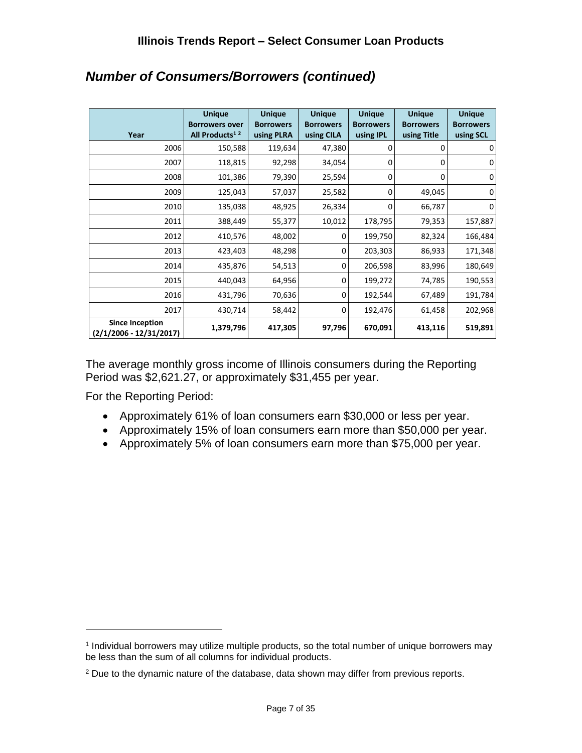| Year                                                | <b>Unique</b><br><b>Borrowers over</b><br>All Products <sup>12</sup> | <b>Unique</b><br><b>Borrowers</b><br>using PLRA | <b>Unique</b><br><b>Borrowers</b><br>using CILA | <b>Unique</b><br><b>Borrowers</b><br>using IPL | <b>Unique</b><br><b>Borrowers</b><br>using Title | <b>Unique</b><br><b>Borrowers</b><br>using SCL |
|-----------------------------------------------------|----------------------------------------------------------------------|-------------------------------------------------|-------------------------------------------------|------------------------------------------------|--------------------------------------------------|------------------------------------------------|
| 2006                                                | 150,588                                                              | 119,634                                         | 47,380                                          | 0                                              |                                                  | 0                                              |
| 2007                                                | 118,815                                                              | 92,298                                          | 34,054                                          | 0                                              | 0                                                | 0                                              |
| 2008                                                | 101,386                                                              | 79,390                                          | 25,594                                          | $\Omega$                                       | 0                                                | $\mathbf 0$                                    |
| 2009                                                | 125,043                                                              | 57,037                                          | 25,582                                          | 0                                              | 49,045                                           | 0                                              |
| 2010                                                | 135,038                                                              | 48,925                                          | 26,334                                          | 0                                              | 66,787                                           | 0                                              |
| 2011                                                | 388,449                                                              | 55,377                                          | 10,012                                          | 178,795                                        | 79,353                                           | 157,887                                        |
| 2012                                                | 410,576                                                              | 48,002                                          | 0                                               | 199,750                                        | 82,324                                           | 166,484                                        |
| 2013                                                | 423,403                                                              | 48,298                                          | 0                                               | 203,303                                        | 86,933                                           | 171,348                                        |
| 2014                                                | 435,876                                                              | 54,513                                          | $\Omega$                                        | 206,598                                        | 83,996                                           | 180,649                                        |
| 2015                                                | 440,043                                                              | 64,956                                          | 0                                               | 199,272                                        | 74,785                                           | 190,553                                        |
| 2016                                                | 431,796                                                              | 70,636                                          | 0                                               | 192,544                                        | 67,489                                           | 191,784                                        |
| 2017                                                | 430,714                                                              | 58,442                                          | $\Omega$                                        | 192,476                                        | 61,458                                           | 202,968                                        |
| <b>Since Inception</b><br>$(2/1/2006 - 12/31/2017)$ | 1,379,796                                                            | 417,305                                         | 97,796                                          | 670,091                                        | 413,116                                          | 519,891                                        |

### *Number of Consumers/Borrowers (continued)*

The average monthly gross income of Illinois consumers during the Reporting Period was \$2,621.27, or approximately \$31,455 per year.

For the Reporting Period:

- Approximately 61% of loan consumers earn \$30,000 or less per year.
- Approximately 15% of loan consumers earn more than \$50,000 per year.
- Approximately 5% of loan consumers earn more than \$75,000 per year.

<sup>1</sup> Individual borrowers may utilize multiple products, so the total number of unique borrowers may be less than the sum of all columns for individual products.

<sup>2</sup> Due to the dynamic nature of the database, data shown may differ from previous reports.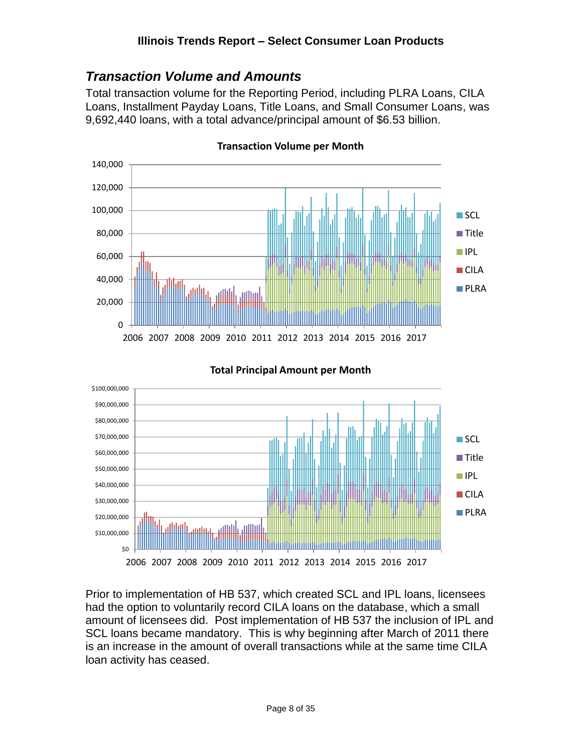#### <span id="page-7-0"></span>*Transaction Volume and Amounts*

Total transaction volume for the Reporting Period, including PLRA Loans, CILA Loans, Installment Payday Loans, Title Loans, and Small Consumer Loans, was 9,692,440 loans, with a total advance/principal amount of \$6.53 billion.



**Transaction Volume per Month**



#### **Total Principal Amount per Month**

Prior to implementation of HB 537, which created SCL and IPL loans, licensees had the option to voluntarily record CILA loans on the database, which a small amount of licensees did. Post implementation of HB 537 the inclusion of IPL and SCL loans became mandatory. This is why beginning after March of 2011 there is an increase in the amount of overall transactions while at the same time CILA loan activity has ceased.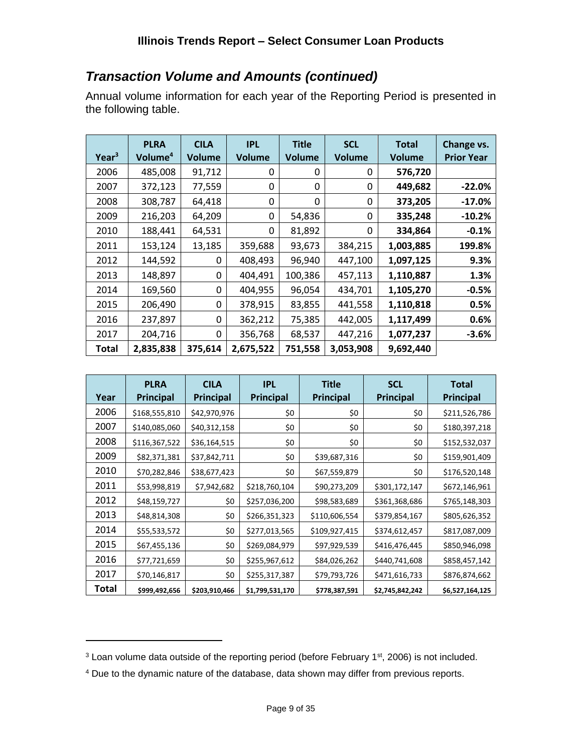### *Transaction Volume and Amounts (continued)*

Annual volume information for each year of the Reporting Period is presented in the following table.

| Year <sup>3</sup> | <b>PLRA</b><br>Volume <sup>4</sup> | <b>CILA</b><br><b>Volume</b> | <b>IPL</b><br><b>Volume</b> | <b>Title</b><br><b>Volume</b> | <b>SCL</b><br><b>Volume</b> | <b>Total</b><br><b>Volume</b> | Change vs.<br><b>Prior Year</b> |
|-------------------|------------------------------------|------------------------------|-----------------------------|-------------------------------|-----------------------------|-------------------------------|---------------------------------|
| 2006              | 485,008                            | 91,712                       | 0                           | 0                             | 0                           | 576,720                       |                                 |
| 2007              | 372,123                            | 77,559                       | 0                           | 0                             | 0                           | 449,682                       | $-22.0%$                        |
| 2008              | 308,787                            | 64,418                       | 0                           | 0                             | 0                           | 373,205                       | $-17.0%$                        |
| 2009              | 216,203                            | 64,209                       | 0                           | 54,836                        | 0                           | 335,248                       | $-10.2%$                        |
| 2010              | 188,441                            | 64,531                       | 0                           | 81,892                        | 0                           | 334,864                       | $-0.1%$                         |
| 2011              | 153,124                            | 13,185                       | 359,688                     | 93,673                        | 384,215                     | 1,003,885                     | 199.8%                          |
| 2012              | 144,592                            | 0                            | 408,493                     | 96,940                        | 447,100                     | 1,097,125                     | 9.3%                            |
| 2013              | 148,897                            | 0                            | 404,491                     | 100,386                       | 457,113                     | 1,110,887                     | 1.3%                            |
| 2014              | 169,560                            | 0                            | 404,955                     | 96,054                        | 434,701                     | 1,105,270                     | $-0.5%$                         |
| 2015              | 206,490                            | 0                            | 378,915                     | 83,855                        | 441,558                     | 1,110,818                     | 0.5%                            |
| 2016              | 237,897                            | 0                            | 362,212                     | 75,385                        | 442,005                     | 1,117,499                     | 0.6%                            |
| 2017              | 204,716                            | 0                            | 356,768                     | 68,537                        | 447,216                     | 1,077,237                     | $-3.6%$                         |
| Total             | 2,835,838                          | 375,614                      | 2,675,522                   | 751,558                       | 3,053,908                   | 9,692,440                     |                                 |

| Year  | <b>PLRA</b><br><b>Principal</b> | <b>CILA</b><br><b>Principal</b> | <b>IPL</b><br><b>Principal</b> | <b>Title</b><br>Principal | <b>SCL</b><br>Principal | <b>Total</b><br><b>Principal</b> |
|-------|---------------------------------|---------------------------------|--------------------------------|---------------------------|-------------------------|----------------------------------|
| 2006  | \$168,555,810                   | \$42,970,976                    | \$0                            | \$0                       | \$0                     | \$211,526,786                    |
| 2007  | \$140,085,060                   | \$40,312,158                    | \$0                            | \$0                       | \$0                     | \$180,397,218                    |
| 2008  | \$116,367,522                   | \$36,164,515                    | \$0                            | \$0                       | \$0                     | \$152,532,037                    |
| 2009  | \$82,371,381                    | \$37,842,711                    | \$0                            | \$39,687,316              | \$0                     | \$159,901,409                    |
| 2010  | \$70,282,846                    | \$38,677,423                    | \$0                            | \$67,559,879              | \$0                     | \$176,520,148                    |
| 2011  | \$53,998,819                    | \$7,942,682                     | \$218,760,104                  | \$90,273,209              | \$301,172,147           | \$672,146,961                    |
| 2012  | \$48,159,727                    | \$0                             | \$257,036,200                  | \$98,583,689              | \$361,368,686           | \$765,148,303                    |
| 2013  | \$48,814,308                    | \$0                             | \$266,351,323                  | \$110,606,554             | \$379,854,167           | \$805,626,352                    |
| 2014  | \$55,533,572                    | \$0                             | \$277,013,565                  | \$109,927,415             | \$374,612,457           | \$817,087,009                    |
| 2015  | \$67,455,136                    | \$0                             | \$269,084,979                  | \$97,929,539              | \$416,476,445           | \$850,946,098                    |
| 2016  | \$77,721,659                    | \$0                             | \$255,967,612                  | \$84,026,262              | \$440,741,608           | \$858,457,142                    |
| 2017  | \$70,146,817                    | \$0                             | \$255,317,387                  | \$79,793,726              | \$471,616,733           | \$876,874,662                    |
| Total | \$999,492,656                   | \$203,910,466                   | \$1,799,531,170                | \$778,387,591             | \$2,745,842,242         | \$6,527,164,125                  |

<sup>&</sup>lt;sup>3</sup> Loan volume data outside of the reporting period (before February 1<sup>st</sup>, 2006) is not included.

<sup>4</sup> Due to the dynamic nature of the database, data shown may differ from previous reports.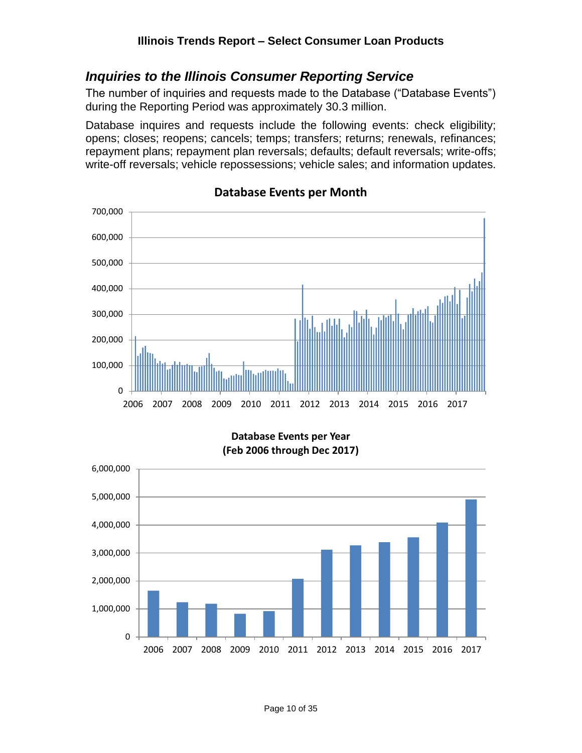#### <span id="page-9-0"></span>*Inquiries to the Illinois Consumer Reporting Service*

The number of inquiries and requests made to the Database ("Database Events") during the Reporting Period was approximately 30.3 million.

Database inquires and requests include the following events: check eligibility; opens; closes; reopens; cancels; temps; transfers; returns; renewals, refinances; repayment plans; repayment plan reversals; defaults; default reversals; write-offs; write-off reversals; vehicle repossessions; vehicle sales; and information updates.



#### **Database Events per Month**

**Database Events per Year (Feb 2006 through Dec 2017)**

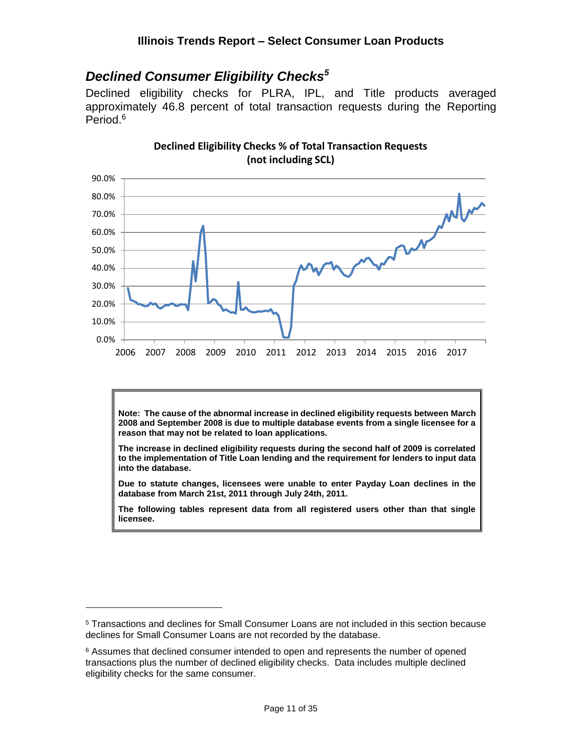### <span id="page-10-0"></span>*Declined Consumer Eligibility Checks<sup>5</sup>*

Declined eligibility checks for PLRA, IPL, and Title products averaged approximately 46.8 percent of total transaction requests during the Reporting Period. 6



**Declined Eligibility Checks % of Total Transaction Requests (not including SCL)**

**Note: The cause of the abnormal increase in declined eligibility requests between March 2008 and September 2008 is due to multiple database events from a single licensee for a reason that may not be related to loan applications.**

**The increase in declined eligibility requests during the second half of 2009 is correlated to the implementation of Title Loan lending and the requirement for lenders to input data into the database.**

**Due to statute changes, licensees were unable to enter Payday Loan declines in the database from March 21st, 2011 through July 24th, 2011.**

**The following tables represent data from all registered users other than that single licensee.**

<sup>5</sup> Transactions and declines for Small Consumer Loans are not included in this section because declines for Small Consumer Loans are not recorded by the database.

<sup>&</sup>lt;sup>6</sup> Assumes that declined consumer intended to open and represents the number of opened transactions plus the number of declined eligibility checks. Data includes multiple declined eligibility checks for the same consumer.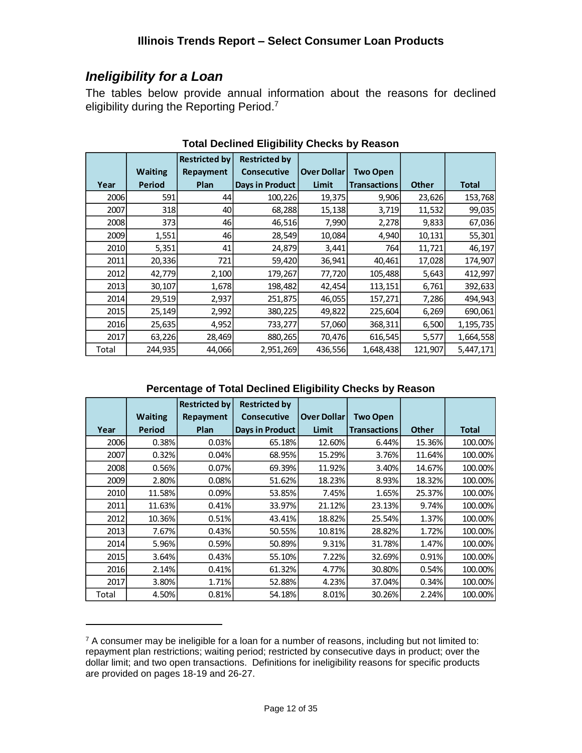### <span id="page-11-0"></span>*Ineligibility for a Loan*

 $\overline{a}$ 

The tables below provide annual information about the reasons for declined eligibility during the Reporting Period.<sup>7</sup>

|       |                | <b>Restricted by</b> | <b>Restricted by</b> |                    |                     |              |              |
|-------|----------------|----------------------|----------------------|--------------------|---------------------|--------------|--------------|
|       | <b>Waiting</b> | Repayment            | <b>Consecutive</b>   | <b>Over Dollar</b> | <b>Two Open</b>     |              |              |
| Year  | <b>Period</b>  | Plan                 | Days in Product      | Limit              | <b>Transactions</b> | <b>Other</b> | <b>Total</b> |
| 2006  | 591            | 44                   | 100,226              | 19,375             | 9,906               | 23,626       | 153,768      |
| 2007  | 318            | 40                   | 68,288               | 15,138             | 3,719               | 11,532       | 99,035       |
| 2008  | 373            | 46                   | 46,516               | 7,990              | 2,278               | 9,833        | 67,036       |
| 2009  | 1,551          | 46                   | 28,549               | 10,084             | 4,940               | 10,131       | 55,301       |
| 2010  | 5,351          | 41                   | 24,879               | 3,441              | 764                 | 11,721       | 46,197       |
| 2011  | 20,336         | 721                  | 59,420               | 36,941             | 40,461              | 17,028       | 174,907      |
| 2012  | 42,779         | 2,100                | 179,267              | 77,720             | 105,488             | 5,643        | 412,997      |
| 2013  | 30,107         | 1,678                | 198,482              | 42,454             | 113,151             | 6,761        | 392,633      |
| 2014  | 29,519         | 2,937                | 251,875              | 46,055             | 157,271             | 7,286        | 494,943      |
| 2015  | 25,149         | 2,992                | 380,225              | 49,822             | 225,604             | 6,269        | 690,061      |
| 2016  | 25,635         | 4,952                | 733,277              | 57,060             | 368,311             | 6,500        | 1,195,735    |
| 2017  | 63,226         | 28,469               | 880,265              | 70,476             | 616,545             | 5,577        | 1,664,558    |
| Total | 244,935        | 44,066               | 2,951,269            | 436,556            | 1,648,438           | 121,907      | 5,447,171    |

**Total Declined Eligibility Checks by Reason**

#### **Percentage of Total Declined Eligibility Checks by Reason**

|       |                | <b>Restricted by</b> | <b>Restricted by</b> |                    |                     |              |              |
|-------|----------------|----------------------|----------------------|--------------------|---------------------|--------------|--------------|
|       | <b>Waiting</b> | Repayment            | <b>Consecutive</b>   | <b>Over Dollar</b> | <b>Two Open</b>     |              |              |
| Year  | Period         | Plan                 | Days in Product      | <b>Limit</b>       | <b>Transactions</b> | <b>Other</b> | <b>Total</b> |
| 2006  | 0.38%          | 0.03%                | 65.18%               | 12.60%             | 6.44%               | 15.36%       | 100.00%      |
| 2007  | 0.32%          | 0.04%                | 68.95%               | 15.29%             | 3.76%               | 11.64%       | 100.00%      |
| 2008  | 0.56%          | 0.07%                | 69.39%               | 11.92%             | 3.40%               | 14.67%       | 100.00%      |
| 2009  | 2.80%          | 0.08%                | 51.62%               | 18.23%             | 8.93%               | 18.32%       | 100.00%      |
| 2010  | 11.58%         | 0.09%                | 53.85%               | 7.45%              | 1.65%               | 25.37%       | 100.00%      |
| 2011  | 11.63%         | 0.41%                | 33.97%               | 21.12%             | 23.13%              | 9.74%        | 100.00%      |
| 2012  | 10.36%         | 0.51%                | 43.41%               | 18.82%             | 25.54%              | 1.37%        | 100.00%      |
| 2013  | 7.67%          | 0.43%                | 50.55%               | 10.81%             | 28.82%              | 1.72%        | 100.00%      |
| 2014  | 5.96%          | 0.59%                | 50.89%               | 9.31%              | 31.78%              | 1.47%        | 100.00%      |
| 2015  | 3.64%          | 0.43%                | 55.10%               | 7.22%              | 32.69%              | 0.91%        | 100.00%      |
| 2016  | 2.14%          | 0.41%                | 61.32%               | 4.77%              | 30.80%              | 0.54%        | 100.00%      |
| 2017  | 3.80%          | 1.71%                | 52.88%               | 4.23%              | 37.04%              | 0.34%        | 100.00%      |
| Total | 4.50%          | 0.81%                | 54.18%               | 8.01%              | 30.26%              | 2.24%        | 100.00%      |

 $7$  A consumer may be ineligible for a loan for a number of reasons, including but not limited to: repayment plan restrictions; waiting period; restricted by consecutive days in product; over the dollar limit; and two open transactions. Definitions for ineligibility reasons for specific products are provided on pages 18-19 and 26-27.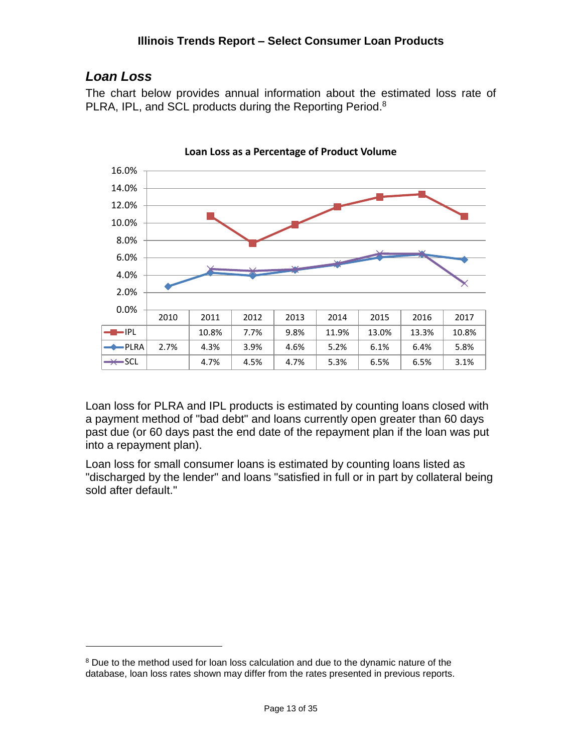### <span id="page-12-0"></span>*Loan Loss*

 $\overline{a}$ 

The chart below provides annual information about the estimated loss rate of PLRA, IPL, and SCL products during the Reporting Period.<sup>8</sup>



**Loan Loss as a Percentage of Product Volume**

Loan loss for PLRA and IPL products is estimated by counting loans closed with a payment method of "bad debt" and loans currently open greater than 60 days past due (or 60 days past the end date of the repayment plan if the loan was put into a repayment plan).

Loan loss for small consumer loans is estimated by counting loans listed as "discharged by the lender" and loans "satisfied in full or in part by collateral being sold after default."

<sup>&</sup>lt;sup>8</sup> Due to the method used for loan loss calculation and due to the dynamic nature of the database, loan loss rates shown may differ from the rates presented in previous reports.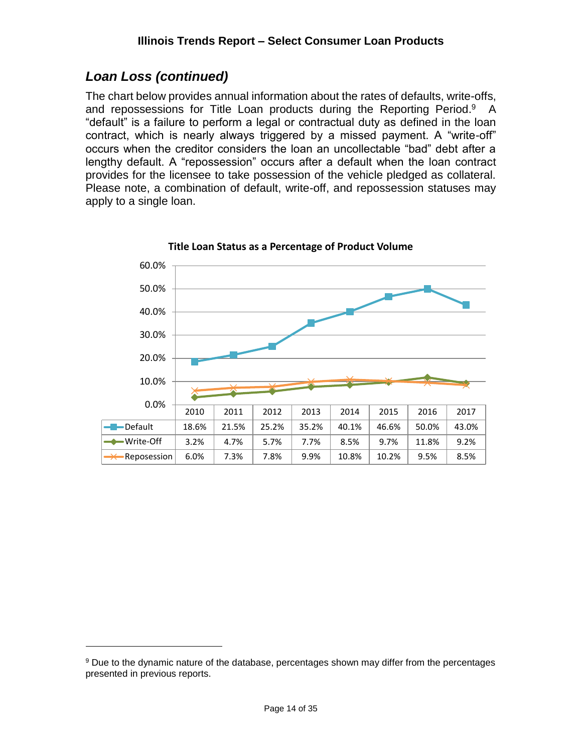### *Loan Loss (continued)*

 $\overline{a}$ 

The chart below provides annual information about the rates of defaults, write-offs, and repossessions for Title Loan products during the Reporting Period.<sup>9</sup> A "default" is a failure to perform a legal or contractual duty as defined in the loan contract, which is nearly always triggered by a missed payment. A "write-off" occurs when the creditor considers the loan an uncollectable "bad" debt after a lengthy default. A "repossession" occurs after a default when the loan contract provides for the licensee to take possession of the vehicle pledged as collateral. Please note, a combination of default, write-off, and repossession statuses may apply to a single loan.



**Title Loan Status as a Percentage of Product Volume**

<sup>9</sup> Due to the dynamic nature of the database, percentages shown may differ from the percentages presented in previous reports.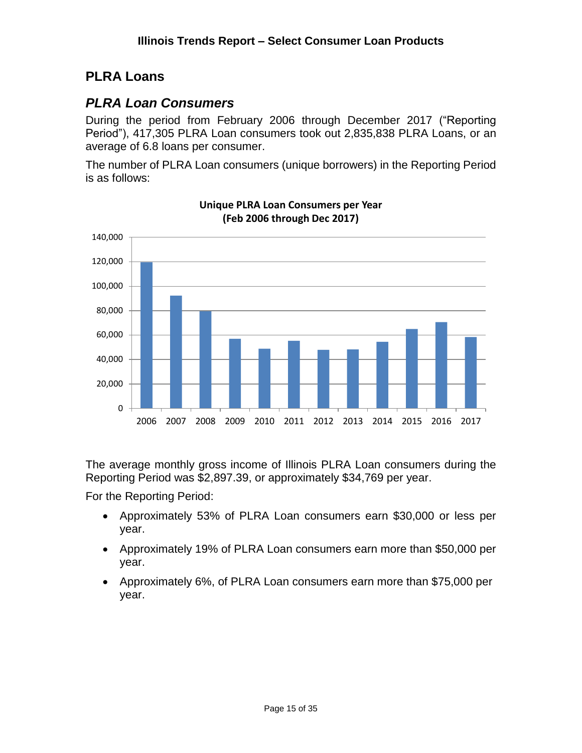### <span id="page-14-0"></span>**PLRA Loans**

### <span id="page-14-1"></span>*PLRA Loan Consumers*

During the period from February 2006 through December 2017 ("Reporting Period"), 417,305 PLRA Loan consumers took out 2,835,838 PLRA Loans, or an average of 6.8 loans per consumer.

The number of PLRA Loan consumers (unique borrowers) in the Reporting Period is as follows:



**Unique PLRA Loan Consumers per Year (Feb 2006 through Dec 2017)**

The average monthly gross income of Illinois PLRA Loan consumers during the Reporting Period was \$2,897.39, or approximately \$34,769 per year.

For the Reporting Period:

- Approximately 53% of PLRA Loan consumers earn \$30,000 or less per year.
- Approximately 19% of PLRA Loan consumers earn more than \$50,000 per year.
- Approximately 6%, of PLRA Loan consumers earn more than \$75,000 per year.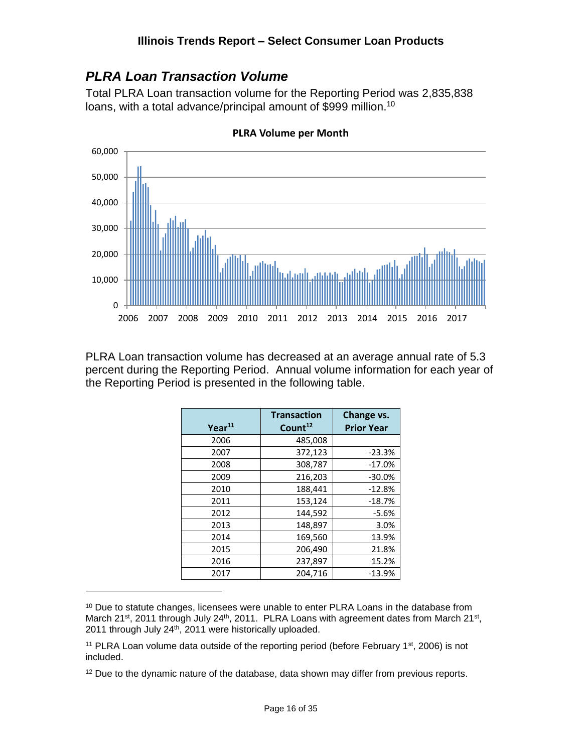#### <span id="page-15-0"></span>*PLRA Loan Transaction Volume*

Total PLRA Loan transaction volume for the Reporting Period was 2,835,838 loans, with a total advance/principal amount of \$999 million.<sup>10</sup>



**PLRA Volume per Month**

PLRA Loan transaction volume has decreased at an average annual rate of 5.3 percent during the Reporting Period. Annual volume information for each year of the Reporting Period is presented in the following table.

| $Year^{11}$ | <b>Transaction</b><br>Count <sup>12</sup> | Change vs.<br><b>Prior Year</b> |
|-------------|-------------------------------------------|---------------------------------|
| 2006        | 485,008                                   |                                 |
| 2007        | 372,123                                   | $-23.3%$                        |
| 2008        | 308,787                                   | $-17.0%$                        |
| 2009        | 216,203                                   | $-30.0%$                        |
| 2010        | 188,441                                   | $-12.8%$                        |
| 2011        | 153,124                                   | $-18.7%$                        |
| 2012        | 144,592                                   | $-5.6%$                         |
| 2013        | 148,897                                   | 3.0%                            |
| 2014        | 169,560                                   | 13.9%                           |
| 2015        | 206,490                                   | 21.8%                           |
| 2016        | 237,897                                   | 15.2%                           |
| 2017        | 204,716                                   | $-13.9%$                        |

<sup>&</sup>lt;sup>10</sup> Due to statute changes, licensees were unable to enter PLRA Loans in the database from March 21<sup>st</sup>, 2011 through July 24<sup>th</sup>, 2011. PLRA Loans with agreement dates from March 21<sup>st</sup>, 2011 through July 24th, 2011 were historically uploaded.

<sup>&</sup>lt;sup>11</sup> PLRA Loan volume data outside of the reporting period (before February 1<sup>st</sup>, 2006) is not included.

<sup>&</sup>lt;sup>12</sup> Due to the dynamic nature of the database, data shown may differ from previous reports.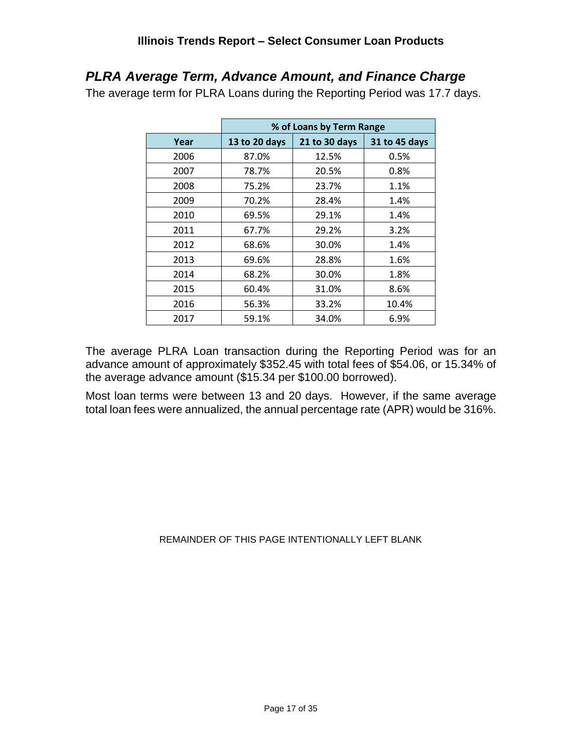### <span id="page-16-0"></span>*PLRA Average Term, Advance Amount, and Finance Charge*

The average term for PLRA Loans during the Reporting Period was 17.7 days.

|      |               | % of Loans by Term Range |               |
|------|---------------|--------------------------|---------------|
| Year | 13 to 20 days | 21 to 30 days            | 31 to 45 days |
| 2006 | 87.0%         | 12.5%                    | 0.5%          |
| 2007 | 78.7%         | 20.5%                    | 0.8%          |
| 2008 | 75.2%         | 23.7%                    | 1.1%          |
| 2009 | 70.2%         | 28.4%                    | 1.4%          |
| 2010 | 69.5%         | 29.1%                    | 1.4%          |
| 2011 | 67.7%         | 29.2%                    | 3.2%          |
| 2012 | 68.6%         | 30.0%                    | 1.4%          |
| 2013 | 69.6%         | 28.8%                    | 1.6%          |
| 2014 | 68.2%         | 30.0%                    | 1.8%          |
| 2015 | 60.4%         | 31.0%                    | 8.6%          |
| 2016 | 56.3%         | 33.2%                    | 10.4%         |
| 2017 | 59.1%         | 34.0%                    | 6.9%          |

The average PLRA Loan transaction during the Reporting Period was for an advance amount of approximately \$352.45 with total fees of \$54.06, or 15.34% of the average advance amount (\$15.34 per \$100.00 borrowed).

Most loan terms were between 13 and 20 days. However, if the same average total loan fees were annualized, the annual percentage rate (APR) would be 316%.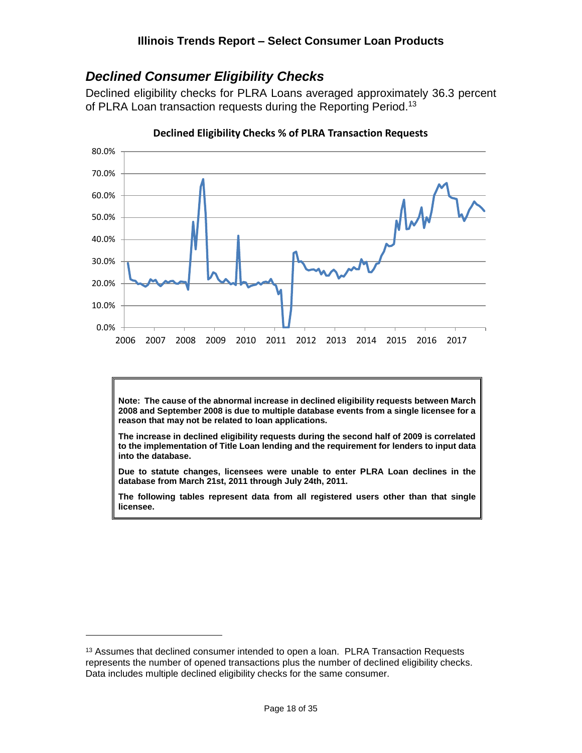### <span id="page-17-0"></span>*Declined Consumer Eligibility Checks*

Declined eligibility checks for PLRA Loans averaged approximately 36.3 percent of PLRA Loan transaction requests during the Reporting Period.<sup>13</sup>



**Declined Eligibility Checks % of PLRA Transaction Requests**

**Note: The cause of the abnormal increase in declined eligibility requests between March 2008 and September 2008 is due to multiple database events from a single licensee for a reason that may not be related to loan applications.**

**The increase in declined eligibility requests during the second half of 2009 is correlated to the implementation of Title Loan lending and the requirement for lenders to input data into the database.**

**Due to statute changes, licensees were unable to enter PLRA Loan declines in the database from March 21st, 2011 through July 24th, 2011.**

**The following tables represent data from all registered users other than that single licensee.**

<sup>&</sup>lt;sup>13</sup> Assumes that declined consumer intended to open a loan. PLRA Transaction Requests represents the number of opened transactions plus the number of declined eligibility checks. Data includes multiple declined eligibility checks for the same consumer.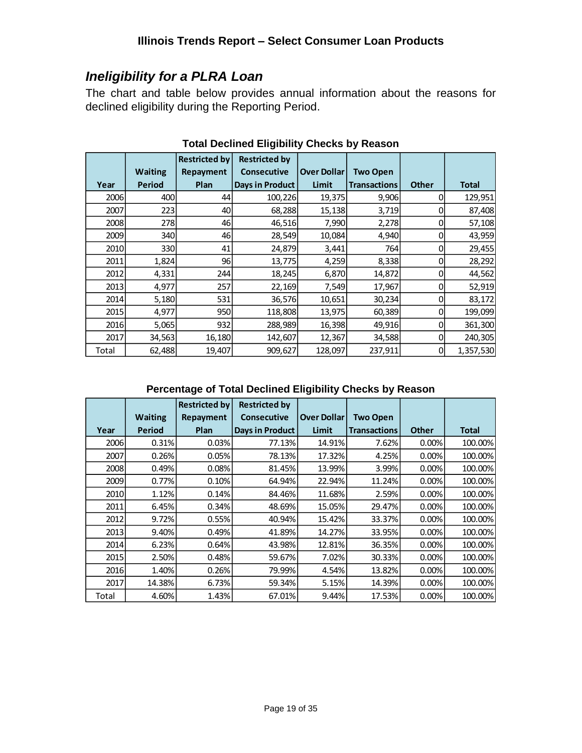### <span id="page-18-0"></span>*Ineligibility for a PLRA Loan*

The chart and table below provides annual information about the reasons for declined eligibility during the Reporting Period.

|       |                | <b>Restricted by</b> | <b>Restricted by</b>   |                    |                     |              |              |
|-------|----------------|----------------------|------------------------|--------------------|---------------------|--------------|--------------|
|       | <b>Waiting</b> | Repayment            | <b>Consecutive</b>     | <b>Over Dollar</b> | <b>Two Open</b>     |              |              |
| Year  | Period         | Plan                 | <b>Days in Product</b> | Limit              | <b>Transactions</b> | <b>Other</b> | <b>Total</b> |
| 2006  | 400            | 44                   | 100,226                | 19,375             | 9,906               | 0            | 129,951      |
| 2007  | 223            | 40                   | 68,288                 | 15,138             | 3,719               | 0            | 87,408       |
| 2008  | 278l           | 46                   | 46,516                 | 7,990              | 2,278               | 0            | 57,108       |
| 2009  | 340l           | 46                   | 28,549                 | 10,084             | 4,940               | 0            | 43,959       |
| 2010  | 330l           | 41                   | 24,879                 | 3,441              | 764                 | 0            | 29,455       |
| 2011  | 1,824          | 96                   | 13,775                 | 4,259              | 8,338               | 0            | 28,292       |
| 2012  | 4,331          | 244                  | 18,245                 | 6,870              | 14,872              | 0            | 44,562       |
| 2013  | 4,977          | 257                  | 22,169                 | 7,549              | 17,967              | 0            | 52,919       |
| 2014  | 5,180          | 531                  | 36,576                 | 10,651             | 30,234              | 0            | 83,172       |
| 2015  | 4,977          | 950                  | 118,808                | 13,975             | 60,389              | 0            | 199,099      |
| 2016  | 5,065          | 932                  | 288,989                | 16,398             | 49,916              | 0            | 361,300      |
| 2017  | 34,563         | 16,180               | 142,607                | 12,367             | 34,588              | 0            | 240,305      |
| Total | 62,488         | 19,407               | 909,627                | 128,097            | 237,911             | 0            | 1,357,530    |

**Total Declined Eligibility Checks by Reason**

#### **Percentage of Total Declined Eligibility Checks by Reason**

|             |                | <b>Restricted by</b> | <b>Restricted by</b>   |                    |                     |              |         |
|-------------|----------------|----------------------|------------------------|--------------------|---------------------|--------------|---------|
|             | <b>Waiting</b> | Repayment            | <b>Consecutive</b>     | <b>Over Dollar</b> | <b>Two Open</b>     |              |         |
| Year        | Period         | Plan                 | <b>Days in Product</b> | <b>Limit</b>       | <b>Transactions</b> | <b>Other</b> | Total   |
| <b>2006</b> | 0.31%          | 0.03%                | 77.13%                 | 14.91%             | 7.62%               | 0.00%        | 100.00% |
| 2007        | 0.26%          | 0.05%                | 78.13%                 | 17.32%             | 4.25%               | 0.00%        | 100.00% |
| 2008        | 0.49%          | 0.08%                | 81.45%                 | 13.99%             | 3.99%               | 0.00%        | 100.00% |
| 2009        | 0.77%          | 0.10%                | 64.94%                 | 22.94%             | 11.24%              | 0.00%        | 100.00% |
| 2010        | 1.12%          | 0.14%                | 84.46%                 | 11.68%             | 2.59%               | 0.00%        | 100.00% |
| 2011        | 6.45%          | 0.34%                | 48.69%                 | 15.05%             | 29.47%              | 0.00%        | 100.00% |
| 2012        | 9.72%          | 0.55%                | 40.94%                 | 15.42%             | 33.37%              | 0.00%        | 100.00% |
| 2013        | 9.40%          | 0.49%                | 41.89%                 | 14.27%             | 33.95%              | 0.00%        | 100.00% |
| 2014        | 6.23%          | 0.64%                | 43.98%                 | 12.81%             | 36.35%              | 0.00%        | 100.00% |
| 2015        | 2.50%          | 0.48%                | 59.67%                 | 7.02%              | 30.33%              | 0.00%        | 100.00% |
| 2016        | 1.40%          | 0.26%                | 79.99%                 | 4.54%              | 13.82%              | 0.00%        | 100.00% |
| 2017        | 14.38%         | 6.73%                | 59.34%                 | 5.15%              | 14.39%              | 0.00%        | 100.00% |
| Total       | 4.60%          | 1.43%                | 67.01%                 | 9.44%              | 17.53%              | 0.00%        | 100.00% |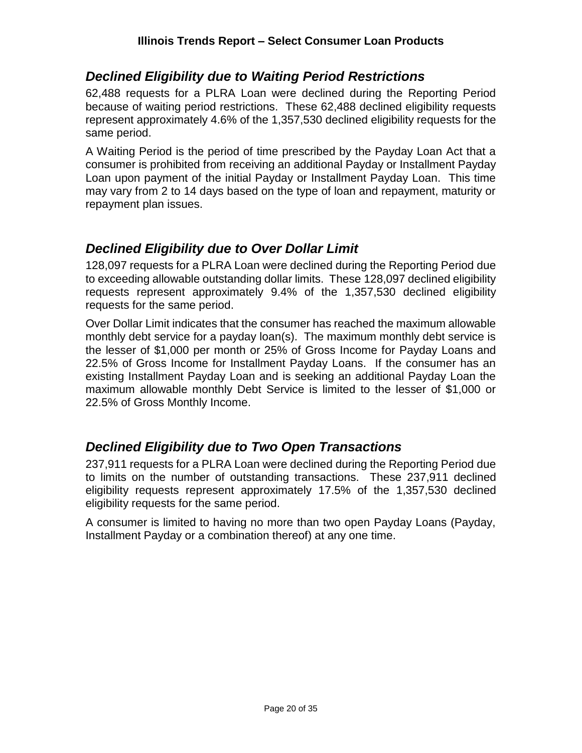#### <span id="page-19-0"></span>*Declined Eligibility due to Waiting Period Restrictions*

62,488 requests for a PLRA Loan were declined during the Reporting Period because of waiting period restrictions. These 62,488 declined eligibility requests represent approximately 4.6% of the 1,357,530 declined eligibility requests for the same period.

A Waiting Period is the period of time prescribed by the Payday Loan Act that a consumer is prohibited from receiving an additional Payday or Installment Payday Loan upon payment of the initial Payday or Installment Payday Loan. This time may vary from 2 to 14 days based on the type of loan and repayment, maturity or repayment plan issues.

#### <span id="page-19-1"></span>*Declined Eligibility due to Over Dollar Limit*

128,097 requests for a PLRA Loan were declined during the Reporting Period due to exceeding allowable outstanding dollar limits. These 128,097 declined eligibility requests represent approximately 9.4% of the 1,357,530 declined eligibility requests for the same period.

Over Dollar Limit indicates that the consumer has reached the maximum allowable monthly debt service for a payday loan(s). The maximum monthly debt service is the lesser of \$1,000 per month or 25% of Gross Income for Payday Loans and 22.5% of Gross Income for Installment Payday Loans. If the consumer has an existing Installment Payday Loan and is seeking an additional Payday Loan the maximum allowable monthly Debt Service is limited to the lesser of \$1,000 or 22.5% of Gross Monthly Income.

### <span id="page-19-2"></span>*Declined Eligibility due to Two Open Transactions*

237,911 requests for a PLRA Loan were declined during the Reporting Period due to limits on the number of outstanding transactions. These 237,911 declined eligibility requests represent approximately 17.5% of the 1,357,530 declined eligibility requests for the same period.

A consumer is limited to having no more than two open Payday Loans (Payday, Installment Payday or a combination thereof) at any one time.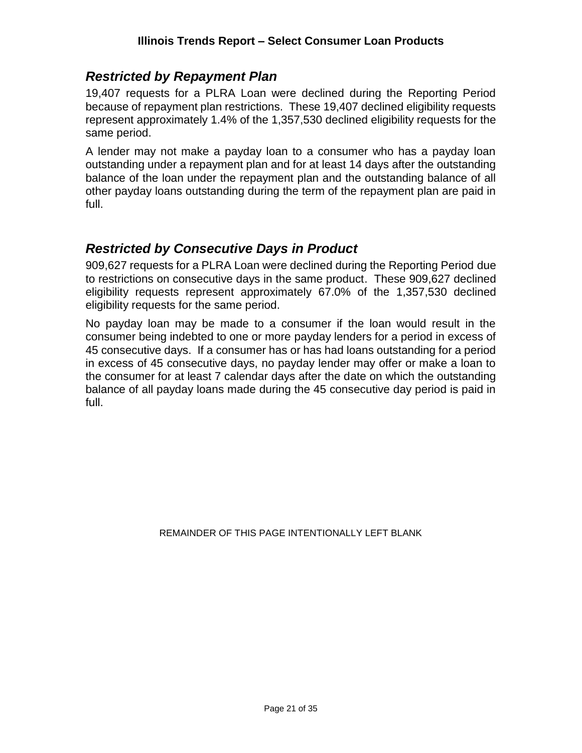#### <span id="page-20-0"></span>*Restricted by Repayment Plan*

19,407 requests for a PLRA Loan were declined during the Reporting Period because of repayment plan restrictions. These 19,407 declined eligibility requests represent approximately 1.4% of the 1,357,530 declined eligibility requests for the same period.

A lender may not make a payday loan to a consumer who has a payday loan outstanding under a repayment plan and for at least 14 days after the outstanding balance of the loan under the repayment plan and the outstanding balance of all other payday loans outstanding during the term of the repayment plan are paid in full.

#### <span id="page-20-1"></span>*Restricted by Consecutive Days in Product*

909,627 requests for a PLRA Loan were declined during the Reporting Period due to restrictions on consecutive days in the same product. These 909,627 declined eligibility requests represent approximately 67.0% of the 1,357,530 declined eligibility requests for the same period.

No payday loan may be made to a consumer if the loan would result in the consumer being indebted to one or more payday lenders for a period in excess of 45 consecutive days. If a consumer has or has had loans outstanding for a period in excess of 45 consecutive days, no payday lender may offer or make a loan to the consumer for at least 7 calendar days after the date on which the outstanding balance of all payday loans made during the 45 consecutive day period is paid in full.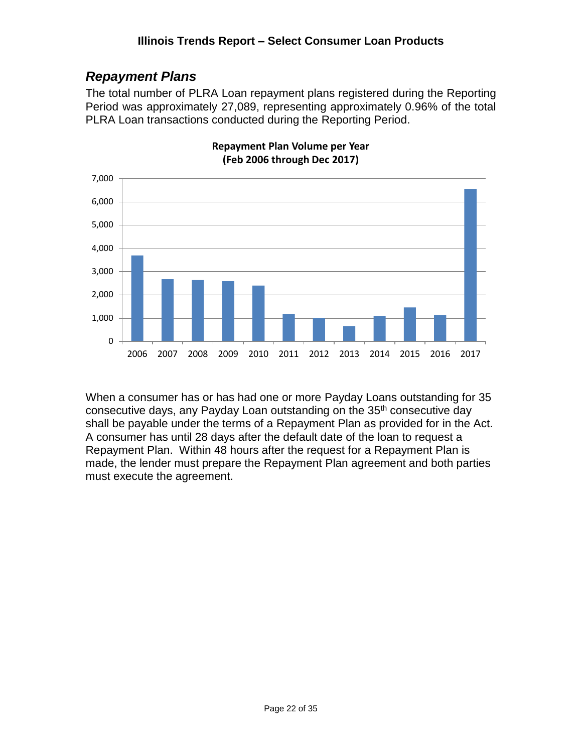### <span id="page-21-0"></span>*Repayment Plans*

The total number of PLRA Loan repayment plans registered during the Reporting Period was approximately 27,089, representing approximately 0.96% of the total PLRA Loan transactions conducted during the Reporting Period.



**Repayment Plan Volume per Year (Feb 2006 through Dec 2017)**

When a consumer has or has had one or more Payday Loans outstanding for 35 consecutive days, any Payday Loan outstanding on the 35<sup>th</sup> consecutive day shall be payable under the terms of a Repayment Plan as provided for in the Act. A consumer has until 28 days after the default date of the loan to request a Repayment Plan. Within 48 hours after the request for a Repayment Plan is made, the lender must prepare the Repayment Plan agreement and both parties must execute the agreement.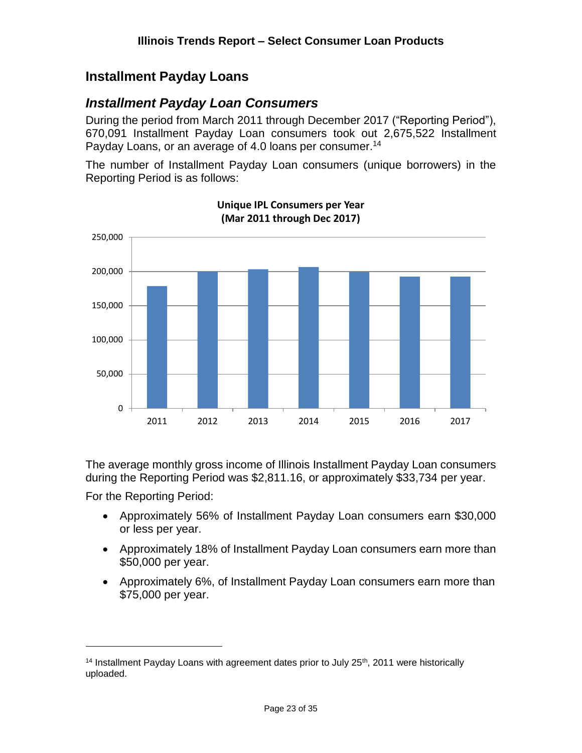### <span id="page-22-0"></span>**Installment Payday Loans**

#### <span id="page-22-1"></span>*Installment Payday Loan Consumers*

During the period from March 2011 through December 2017 ("Reporting Period"), 670,091 Installment Payday Loan consumers took out 2,675,522 Installment Payday Loans, or an average of 4.0 loans per consumer.<sup>14</sup>

The number of Installment Payday Loan consumers (unique borrowers) in the Reporting Period is as follows:



**Unique IPL Consumers per Year (Mar 2011 through Dec 2017)**

The average monthly gross income of Illinois Installment Payday Loan consumers during the Reporting Period was \$2,811.16, or approximately \$33,734 per year.

For the Reporting Period:

- Approximately 56% of Installment Payday Loan consumers earn \$30,000 or less per year.
- Approximately 18% of Installment Payday Loan consumers earn more than \$50,000 per year.
- Approximately 6%, of Installment Payday Loan consumers earn more than \$75,000 per year.

<sup>&</sup>lt;sup>14</sup> Installment Payday Loans with agreement dates prior to July  $25<sup>th</sup>$ , 2011 were historically uploaded.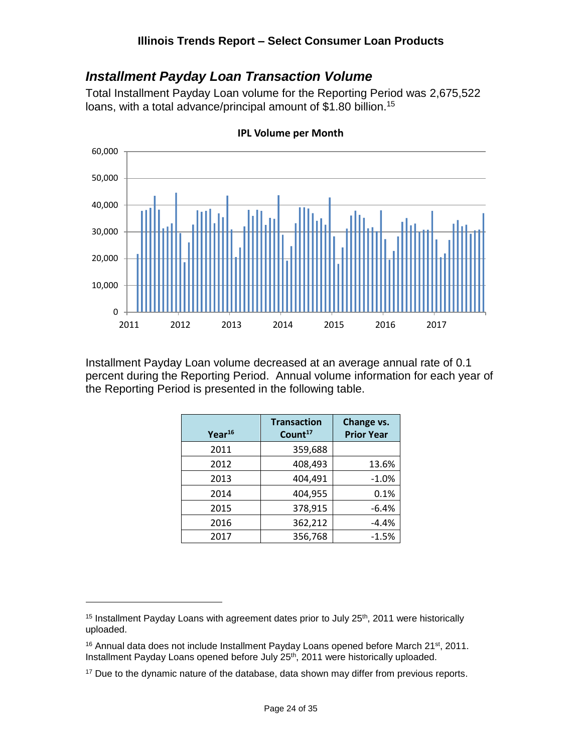#### <span id="page-23-0"></span>*Installment Payday Loan Transaction Volume*

Total Installment Payday Loan volume for the Reporting Period was 2,675,522 loans, with a total advance/principal amount of \$1.80 billion.<sup>15</sup>



**IPL Volume per Month**

Installment Payday Loan volume decreased at an average annual rate of 0.1 percent during the Reporting Period. Annual volume information for each year of the Reporting Period is presented in the following table.

| Year <sup>16</sup> | <b>Transaction</b><br>Count <sup>17</sup> | Change vs.<br><b>Prior Year</b> |
|--------------------|-------------------------------------------|---------------------------------|
| 2011               | 359,688                                   |                                 |
| 2012               | 408,493                                   | 13.6%                           |
| 2013               | 404,491                                   | $-1.0%$                         |
| 2014               | 404,955                                   | 0.1%                            |
| 2015               | 378,915                                   | $-6.4%$                         |
| 2016               | 362,212                                   | $-4.4%$                         |
| 2017               | 356,768                                   | $-1.5%$                         |

<sup>&</sup>lt;sup>15</sup> Installment Payday Loans with agreement dates prior to July  $25<sup>th</sup>$ , 2011 were historically uploaded.

 $16$  Annual data does not include Installment Payday Loans opened before March 21st, 2011. Installment Payday Loans opened before July 25th, 2011 were historically uploaded.

<sup>&</sup>lt;sup>17</sup> Due to the dynamic nature of the database, data shown may differ from previous reports.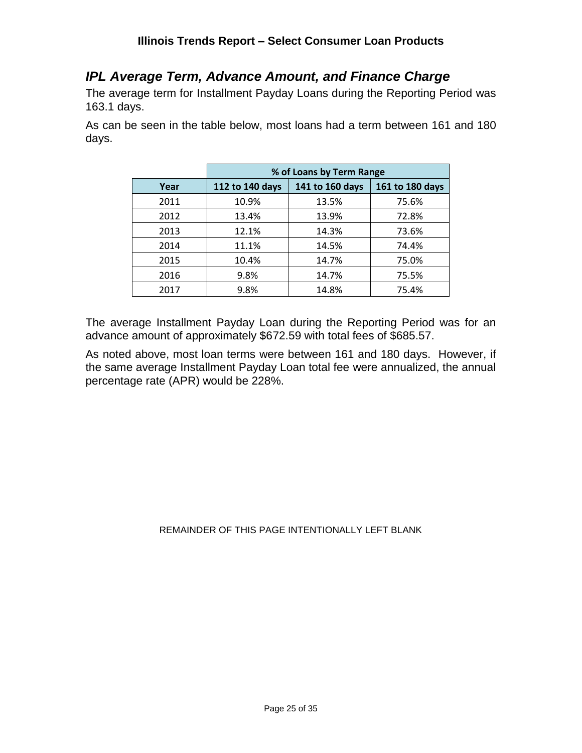#### <span id="page-24-0"></span>*IPL Average Term, Advance Amount, and Finance Charge*

The average term for Installment Payday Loans during the Reporting Period was 163.1 days.

As can be seen in the table below, most loans had a term between 161 and 180 days.

|      | % of Loans by Term Range |                 |                 |  |  |  |
|------|--------------------------|-----------------|-----------------|--|--|--|
| Year | 112 to 140 days          | 141 to 160 days | 161 to 180 days |  |  |  |
| 2011 | 10.9%                    | 13.5%           | 75.6%           |  |  |  |
| 2012 | 13.4%                    | 13.9%           | 72.8%           |  |  |  |
| 2013 | 12.1%                    | 14.3%           | 73.6%           |  |  |  |
| 2014 | 11.1%                    | 14.5%           | 74.4%           |  |  |  |
| 2015 | 10.4%                    | 14.7%           | 75.0%           |  |  |  |
| 2016 | 9.8%                     | 14.7%           | 75.5%           |  |  |  |
| 2017 | 9.8%                     | 14.8%           | 75.4%           |  |  |  |

The average Installment Payday Loan during the Reporting Period was for an advance amount of approximately \$672.59 with total fees of \$685.57.

As noted above, most loan terms were between 161 and 180 days. However, if the same average Installment Payday Loan total fee were annualized, the annual percentage rate (APR) would be 228%.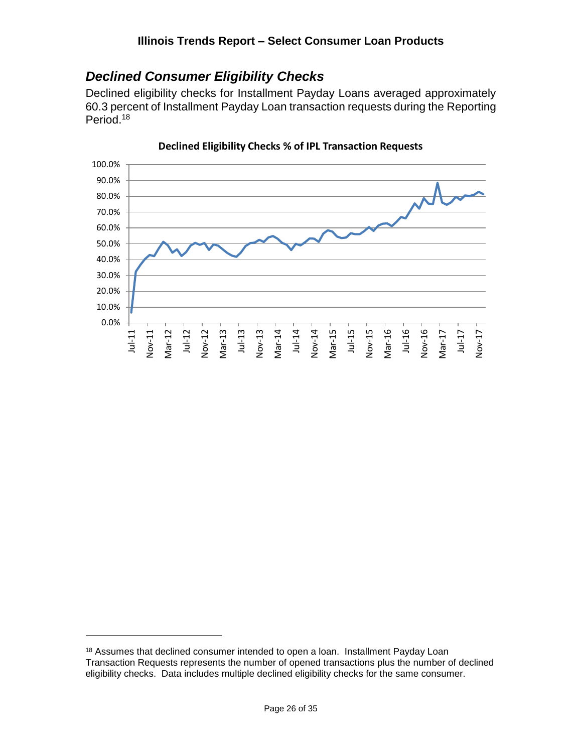### <span id="page-25-0"></span>*Declined Consumer Eligibility Checks*

Declined eligibility checks for Installment Payday Loans averaged approximately 60.3 percent of Installment Payday Loan transaction requests during the Reporting Period. 18



**Declined Eligibility Checks % of IPL Transaction Requests**

<sup>&</sup>lt;sup>18</sup> Assumes that declined consumer intended to open a loan. Installment Payday Loan Transaction Requests represents the number of opened transactions plus the number of declined eligibility checks. Data includes multiple declined eligibility checks for the same consumer.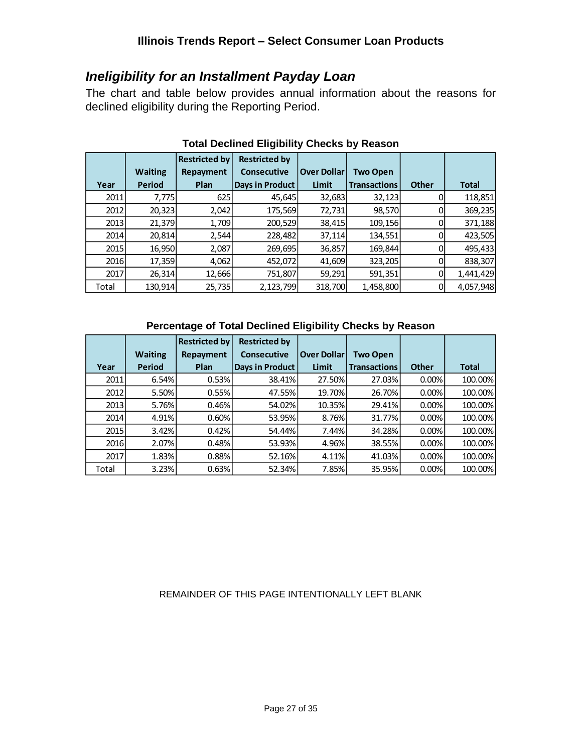#### <span id="page-26-0"></span>*Ineligibility for an Installment Payday Loan*

The chart and table below provides annual information about the reasons for declined eligibility during the Reporting Period.

|             |                | <b>Restricted by</b> | <b>Restricted by</b>   |                    |                     |              |              |
|-------------|----------------|----------------------|------------------------|--------------------|---------------------|--------------|--------------|
|             | <b>Waiting</b> | Repayment            | <b>Consecutive</b>     | <b>Over Dollar</b> | <b>Two Open</b>     |              |              |
| Year        | <b>Period</b>  | Plan                 | <b>Days in Product</b> | Limit              | <b>Transactions</b> | <b>Other</b> | <b>Total</b> |
| 2011        | 7,775          | 625                  | 45,645                 | 32,683             | 32,123              |              | 118,851      |
| 2012        | 20,323         | 2,042                | 175,569                | 72,731             | 98,570              |              | 369,235      |
| 2013        | 21,379         | 1,709                | 200,529                | 38,415             | 109,156             |              | 371,188      |
| <b>2014</b> | 20,814         | 2,544                | 228,482                | 37,114             | 134,551             |              | 423,505      |
| 2015        | 16,950         | 2,087                | 269,695                | 36,857             | 169,844             |              | 495,433      |
| 2016        | 17,359         | 4,062                | 452,072                | 41,609             | 323,205             |              | 838,307      |
| 2017        | 26,314         | 12,666               | 751,807                | 59,291             | 591,351             | 0            | 1,441,429    |
| Total       | 130,914        | 25,735               | 2,123,799              | 318,700            | 1,458,800           |              | 4,057,948    |

#### **Total Declined Eligibility Checks by Reason**

#### **Percentage of Total Declined Eligibility Checks by Reason**

|             |                | <b>Restricted by</b> | <b>Restricted by</b> |                    |                     |              |              |
|-------------|----------------|----------------------|----------------------|--------------------|---------------------|--------------|--------------|
|             | <b>Waiting</b> | Repayment            | <b>Consecutive</b>   | <b>Over Dollar</b> | <b>Two Open</b>     |              |              |
| Year        | <b>Period</b>  | Plan                 | Days in Product      | Limit              | <b>Transactions</b> | <b>Other</b> | <b>Total</b> |
| <b>2011</b> | 6.54%          | 0.53%                | 38.41%               | 27.50%             | 27.03%              | 0.00%        | 100.00%      |
| <b>2012</b> | 5.50%          | 0.55%                | 47.55%               | 19.70%             | 26.70%              | 0.00%        | 100.00%      |
| 2013        | 5.76%          | 0.46%                | 54.02%               | 10.35%             | 29.41%              | 0.00%        | 100.00%      |
| <b>2014</b> | 4.91%          | 0.60%                | 53.95%               | 8.76%              | 31.77%              | 0.00%        | 100.00%      |
| 2015        | 3.42%          | 0.42%                | 54.44%               | 7.44%              | 34.28%              | 0.00%        | 100.00%      |
| 2016        | 2.07%          | 0.48%                | 53.93%               | 4.96%              | 38.55%              | 0.00%        | 100.00%      |
| 2017        | 1.83%          | 0.88%                | 52.16%               | 4.11%              | 41.03%              | 0.00%        | 100.00%      |
| Total       | 3.23%          | 0.63%                | 52.34%               | 7.85%              | 35.95%              | 0.00%        | 100.00%      |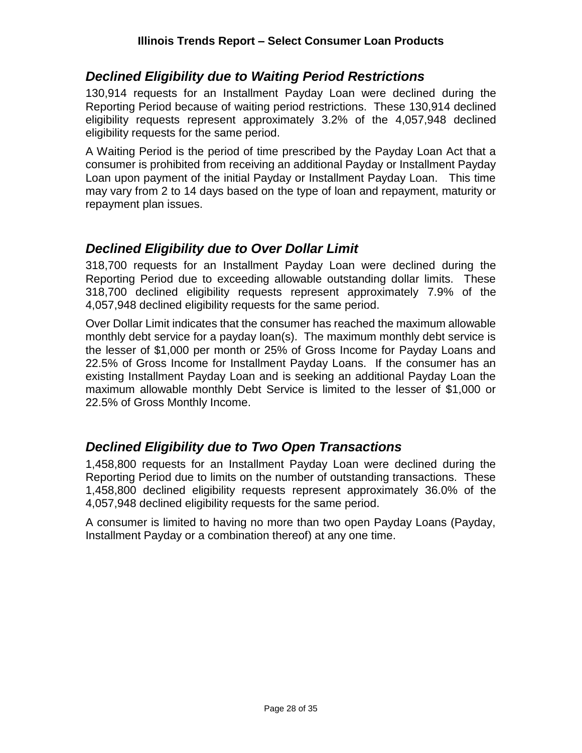#### <span id="page-27-0"></span>*Declined Eligibility due to Waiting Period Restrictions*

130,914 requests for an Installment Payday Loan were declined during the Reporting Period because of waiting period restrictions. These 130,914 declined eligibility requests represent approximately 3.2% of the 4,057,948 declined eligibility requests for the same period.

A Waiting Period is the period of time prescribed by the Payday Loan Act that a consumer is prohibited from receiving an additional Payday or Installment Payday Loan upon payment of the initial Payday or Installment Payday Loan. This time may vary from 2 to 14 days based on the type of loan and repayment, maturity or repayment plan issues.

#### <span id="page-27-1"></span>*Declined Eligibility due to Over Dollar Limit*

318,700 requests for an Installment Payday Loan were declined during the Reporting Period due to exceeding allowable outstanding dollar limits. These 318,700 declined eligibility requests represent approximately 7.9% of the 4,057,948 declined eligibility requests for the same period.

Over Dollar Limit indicates that the consumer has reached the maximum allowable monthly debt service for a payday loan(s). The maximum monthly debt service is the lesser of \$1,000 per month or 25% of Gross Income for Payday Loans and 22.5% of Gross Income for Installment Payday Loans. If the consumer has an existing Installment Payday Loan and is seeking an additional Payday Loan the maximum allowable monthly Debt Service is limited to the lesser of \$1,000 or 22.5% of Gross Monthly Income.

#### <span id="page-27-2"></span>*Declined Eligibility due to Two Open Transactions*

1,458,800 requests for an Installment Payday Loan were declined during the Reporting Period due to limits on the number of outstanding transactions. These 1,458,800 declined eligibility requests represent approximately 36.0% of the 4,057,948 declined eligibility requests for the same period.

A consumer is limited to having no more than two open Payday Loans (Payday, Installment Payday or a combination thereof) at any one time.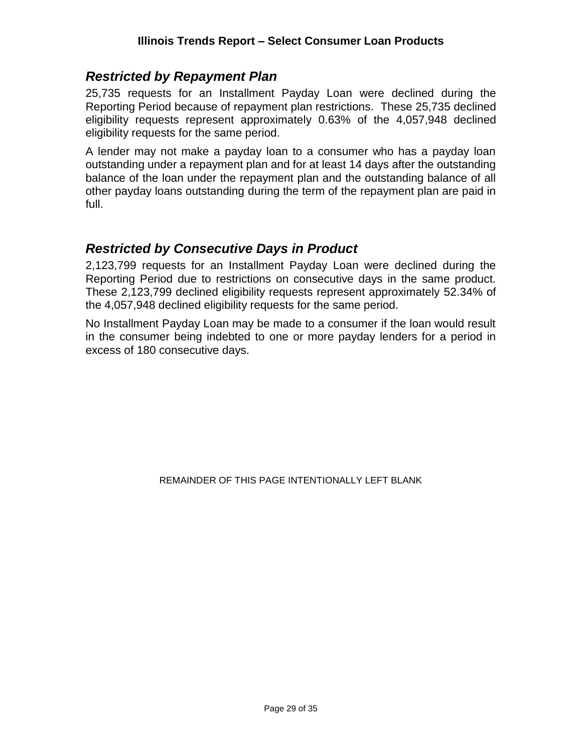#### <span id="page-28-0"></span>*Restricted by Repayment Plan*

25,735 requests for an Installment Payday Loan were declined during the Reporting Period because of repayment plan restrictions. These 25,735 declined eligibility requests represent approximately 0.63% of the 4,057,948 declined eligibility requests for the same period.

A lender may not make a payday loan to a consumer who has a payday loan outstanding under a repayment plan and for at least 14 days after the outstanding balance of the loan under the repayment plan and the outstanding balance of all other payday loans outstanding during the term of the repayment plan are paid in full.

#### <span id="page-28-1"></span>*Restricted by Consecutive Days in Product*

2,123,799 requests for an Installment Payday Loan were declined during the Reporting Period due to restrictions on consecutive days in the same product. These 2,123,799 declined eligibility requests represent approximately 52.34% of the 4,057,948 declined eligibility requests for the same period.

No Installment Payday Loan may be made to a consumer if the loan would result in the consumer being indebted to one or more payday lenders for a period in excess of 180 consecutive days.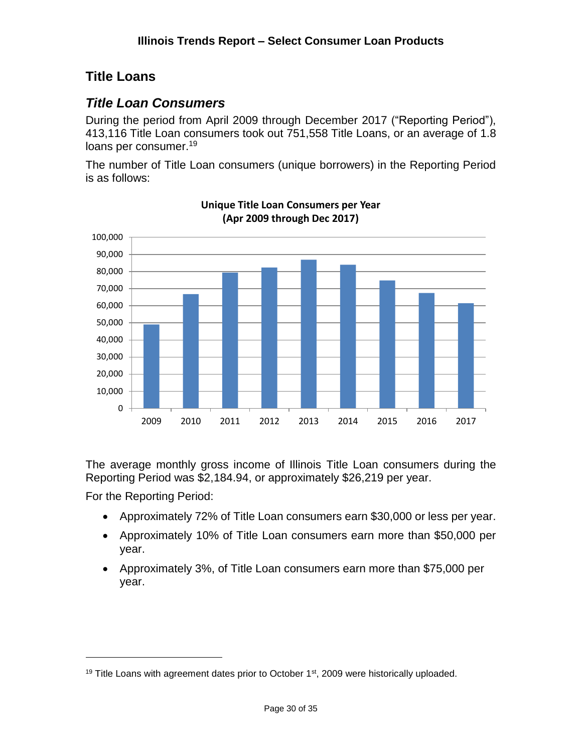### <span id="page-29-0"></span>**Title Loans**

### <span id="page-29-1"></span>*Title Loan Consumers*

During the period from April 2009 through December 2017 ("Reporting Period"), 413,116 Title Loan consumers took out 751,558 Title Loans, or an average of 1.8 loans per consumer.<sup>19</sup>

The number of Title Loan consumers (unique borrowers) in the Reporting Period is as follows:



**Unique Title Loan Consumers per Year (Apr 2009 through Dec 2017)**

The average monthly gross income of Illinois Title Loan consumers during the Reporting Period was \$2,184.94, or approximately \$26,219 per year.

For the Reporting Period:

- Approximately 72% of Title Loan consumers earn \$30,000 or less per year.
- Approximately 10% of Title Loan consumers earn more than \$50,000 per year.
- Approximately 3%, of Title Loan consumers earn more than \$75,000 per year.

<sup>&</sup>lt;sup>19</sup> Title Loans with agreement dates prior to October  $1<sup>st</sup>$ , 2009 were historically uploaded.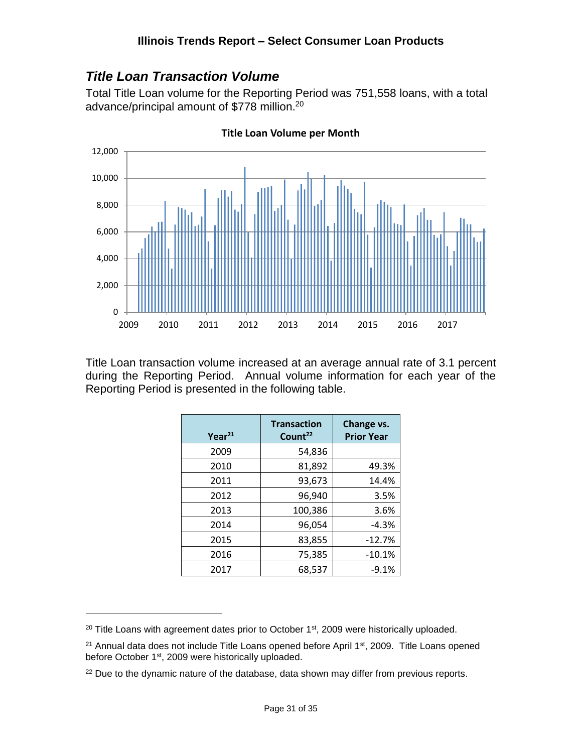### <span id="page-30-0"></span>*Title Loan Transaction Volume*

Total Title Loan volume for the Reporting Period was 751,558 loans, with a total advance/principal amount of \$778 million.<sup>20</sup>



**Title Loan Volume per Month**

Title Loan transaction volume increased at an average annual rate of 3.1 percent during the Reporting Period. Annual volume information for each year of the Reporting Period is presented in the following table.

| Year <sup>21</sup> | <b>Transaction</b><br>Count <sup>22</sup> | Change vs.<br><b>Prior Year</b> |  |
|--------------------|-------------------------------------------|---------------------------------|--|
| 2009               | 54,836                                    |                                 |  |
| 2010               | 81,892                                    | 49.3%                           |  |
| 2011               | 93,673                                    | 14.4%                           |  |
| 2012               | 96,940                                    | 3.5%                            |  |
| 2013               | 100,386                                   | 3.6%                            |  |
| 2014               | 96,054                                    | $-4.3%$                         |  |
| 2015               | 83,855                                    | $-12.7%$                        |  |
| 2016               | 75,385                                    | $-10.1%$                        |  |
| 2017               | 68,537                                    | $-9.1%$                         |  |

 $20$  Title Loans with agreement dates prior to October 1st, 2009 were historically uploaded.

<sup>&</sup>lt;sup>21</sup> Annual data does not include Title Loans opened before April 1<sup>st</sup>, 2009. Title Loans opened before October 1<sup>st</sup>, 2009 were historically uploaded.

 $22$  Due to the dynamic nature of the database, data shown may differ from previous reports.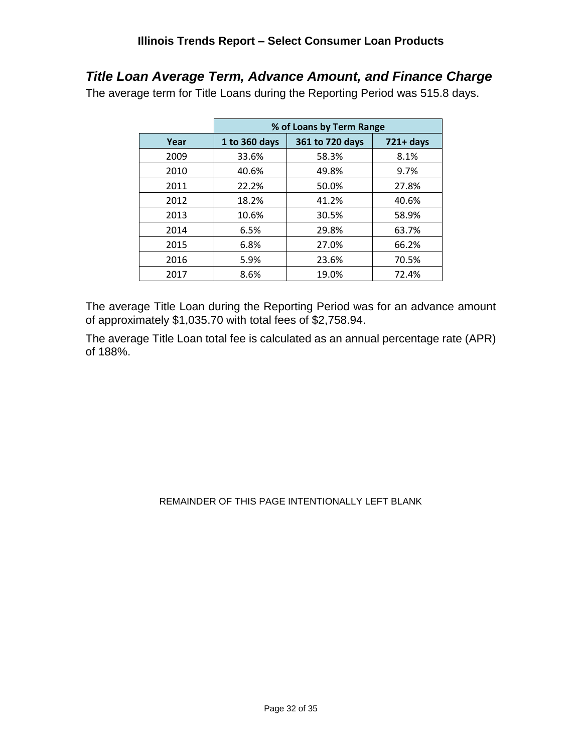### <span id="page-31-0"></span>*Title Loan Average Term, Advance Amount, and Finance Charge*

The average term for Title Loans during the Reporting Period was 515.8 days.

|      | % of Loans by Term Range |                 |              |  |  |
|------|--------------------------|-----------------|--------------|--|--|
| Year | 1 to 360 days            | 361 to 720 days | $721 + days$ |  |  |
| 2009 | 33.6%                    | 58.3%           | 8.1%         |  |  |
| 2010 | 40.6%                    | 49.8%           | 9.7%         |  |  |
| 2011 | 22.2%                    | 50.0%           | 27.8%        |  |  |
| 2012 | 18.2%                    | 41.2%           | 40.6%        |  |  |
| 2013 | 10.6%                    | 30.5%           | 58.9%        |  |  |
| 2014 | 6.5%                     | 29.8%           | 63.7%        |  |  |
| 2015 | 6.8%                     | 27.0%           | 66.2%        |  |  |
| 2016 | 5.9%                     | 23.6%           | 70.5%        |  |  |
| 2017 | 8.6%                     | 19.0%           | 72.4%        |  |  |

The average Title Loan during the Reporting Period was for an advance amount of approximately \$1,035.70 with total fees of \$2,758.94.

The average Title Loan total fee is calculated as an annual percentage rate (APR) of 188%.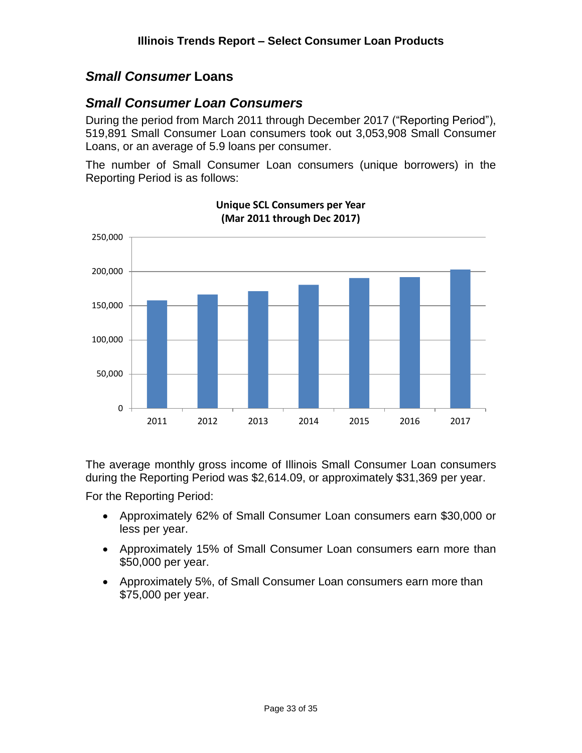#### <span id="page-32-0"></span>*Small Consumer* **Loans**

#### <span id="page-32-1"></span>*Small Consumer Loan Consumers*

During the period from March 2011 through December 2017 ("Reporting Period"), 519,891 Small Consumer Loan consumers took out 3,053,908 Small Consumer Loans, or an average of 5.9 loans per consumer.

The number of Small Consumer Loan consumers (unique borrowers) in the Reporting Period is as follows:



**Unique SCL Consumers per Year (Mar 2011 through Dec 2017)**

The average monthly gross income of Illinois Small Consumer Loan consumers during the Reporting Period was \$2,614.09, or approximately \$31,369 per year.

For the Reporting Period:

- Approximately 62% of Small Consumer Loan consumers earn \$30,000 or less per year.
- Approximately 15% of Small Consumer Loan consumers earn more than \$50,000 per year.
- Approximately 5%, of Small Consumer Loan consumers earn more than \$75,000 per year.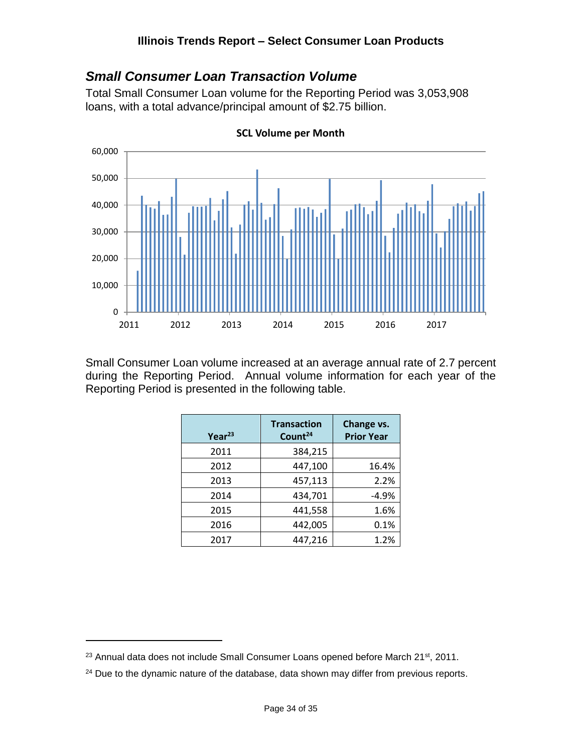### <span id="page-33-0"></span>*Small Consumer Loan Transaction Volume*

Total Small Consumer Loan volume for the Reporting Period was 3,053,908 loans, with a total advance/principal amount of \$2.75 billion.



**SCL Volume per Month**

Small Consumer Loan volume increased at an average annual rate of 2.7 percent during the Reporting Period. Annual volume information for each year of the Reporting Period is presented in the following table.

| Year <sup>23</sup> | <b>Transaction</b><br>Count <sup>24</sup> | Change vs.<br><b>Prior Year</b> |  |
|--------------------|-------------------------------------------|---------------------------------|--|
| 2011               | 384,215                                   |                                 |  |
| 2012               | 447,100                                   | 16.4%                           |  |
| 2013               | 457,113                                   | 2.2%                            |  |
| 2014               | 434,701                                   | $-4.9%$                         |  |
| 2015               | 441,558                                   | 1.6%                            |  |
| 2016               | 442,005                                   | 0.1%                            |  |
| 2017               | 447,216                                   | 1.2%                            |  |

<sup>&</sup>lt;sup>23</sup> Annual data does not include Small Consumer Loans opened before March 21<sup>st</sup>, 2011.

<sup>&</sup>lt;sup>24</sup> Due to the dynamic nature of the database, data shown may differ from previous reports.